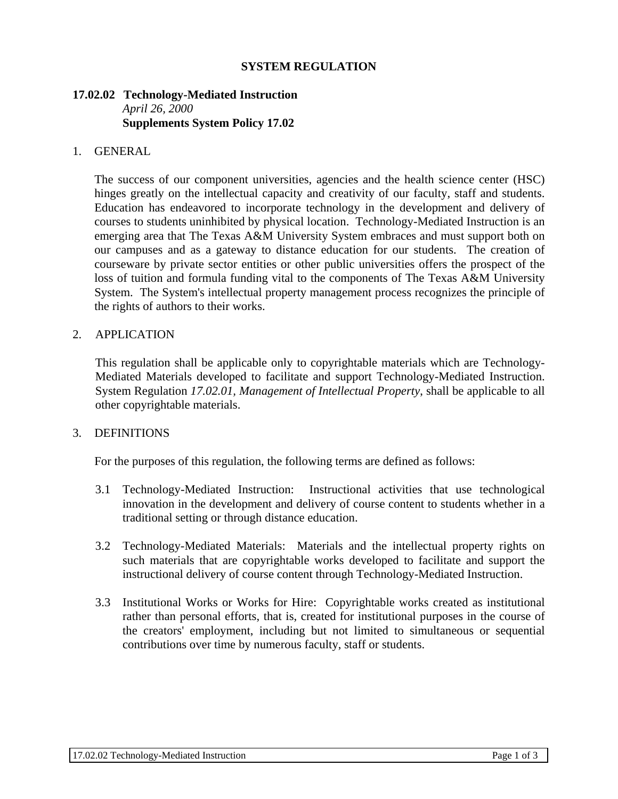# **SYSTEM REGULATION**

## **17.02.02 Technology-Mediated Instruction**  *April 26, 2000*  **Supplements System Policy 17.02**

## 1. GENERAL

 The success of our component universities, agencies and the health science center (HSC) hinges greatly on the intellectual capacity and creativity of our faculty, staff and students. Education has endeavored to incorporate technology in the development and delivery of courses to students uninhibited by physical location. Technology-Mediated Instruction is an emerging area that The Texas A&M University System embraces and must support both on our campuses and as a gateway to distance education for our students. The creation of courseware by private sector entities or other public universities offers the prospect of the loss of tuition and formula funding vital to the components of The Texas A&M University System. The System's intellectual property management process recognizes the principle of the rights of authors to their works.

## 2. APPLICATION

 This regulation shall be applicable only to copyrightable materials which are Technology-Mediated Materials developed to facilitate and support Technology-Mediated Instruction. System Regulation *17.02.01, Management of Intellectual Property*, shall be applicable to all other copyrightable materials.

# 3. DEFINITIONS

For the purposes of this regulation, the following terms are defined as follows:

- 3.1 Technology-Mediated Instruction: Instructional activities that use technological innovation in the development and delivery of course content to students whether in a traditional setting or through distance education.
- 3.2 Technology-Mediated Materials: Materials and the intellectual property rights on such materials that are copyrightable works developed to facilitate and support the instructional delivery of course content through Technology-Mediated Instruction.
- 3.3 Institutional Works or Works for Hire: Copyrightable works created as institutional rather than personal efforts, that is, created for institutional purposes in the course of the creators' employment, including but not limited to simultaneous or sequential contributions over time by numerous faculty, staff or students.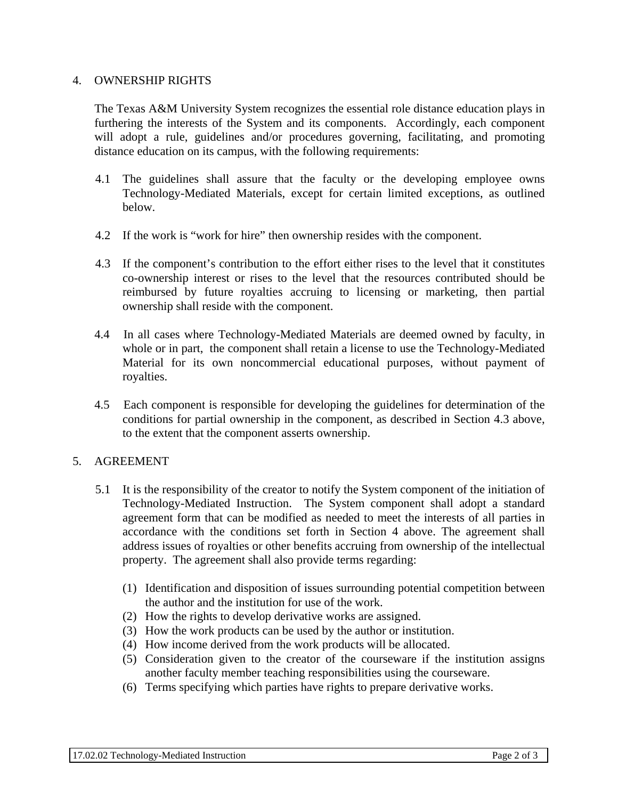# 4. OWNERSHIP RIGHTS

 The Texas A&M University System recognizes the essential role distance education plays in furthering the interests of the System and its components. Accordingly, each component will adopt a rule, guidelines and/or procedures governing, facilitating, and promoting distance education on its campus, with the following requirements:

- 4.1 The guidelines shall assure that the faculty or the developing employee owns Technology-Mediated Materials, except for certain limited exceptions, as outlined below.
- 4.2 If the work is "work for hire" then ownership resides with the component.
- 4.3 If the component's contribution to the effort either rises to the level that it constitutes co-ownership interest or rises to the level that the resources contributed should be reimbursed by future royalties accruing to licensing or marketing, then partial ownership shall reside with the component.
- 4.4 In all cases where Technology-Mediated Materials are deemed owned by faculty, in whole or in part, the component shall retain a license to use the Technology-Mediated Material for its own noncommercial educational purposes, without payment of royalties.
- 4.5 Each component is responsible for developing the guidelines for determination of the conditions for partial ownership in the component, as described in Section 4.3 above, to the extent that the component asserts ownership.

# 5. AGREEMENT

- 5.1 It is the responsibility of the creator to notify the System component of the initiation of Technology-Mediated Instruction. The System component shall adopt a standard agreement form that can be modified as needed to meet the interests of all parties in accordance with the conditions set forth in Section 4 above. The agreement shall address issues of royalties or other benefits accruing from ownership of the intellectual property. The agreement shall also provide terms regarding:
	- (1) Identification and disposition of issues surrounding potential competition between the author and the institution for use of the work.
	- (2) How the rights to develop derivative works are assigned.
	- (3) How the work products can be used by the author or institution.
	- (4) How income derived from the work products will be allocated.
	- (5) Consideration given to the creator of the courseware if the institution assigns another faculty member teaching responsibilities using the courseware.
	- (6) Terms specifying which parties have rights to prepare derivative works.